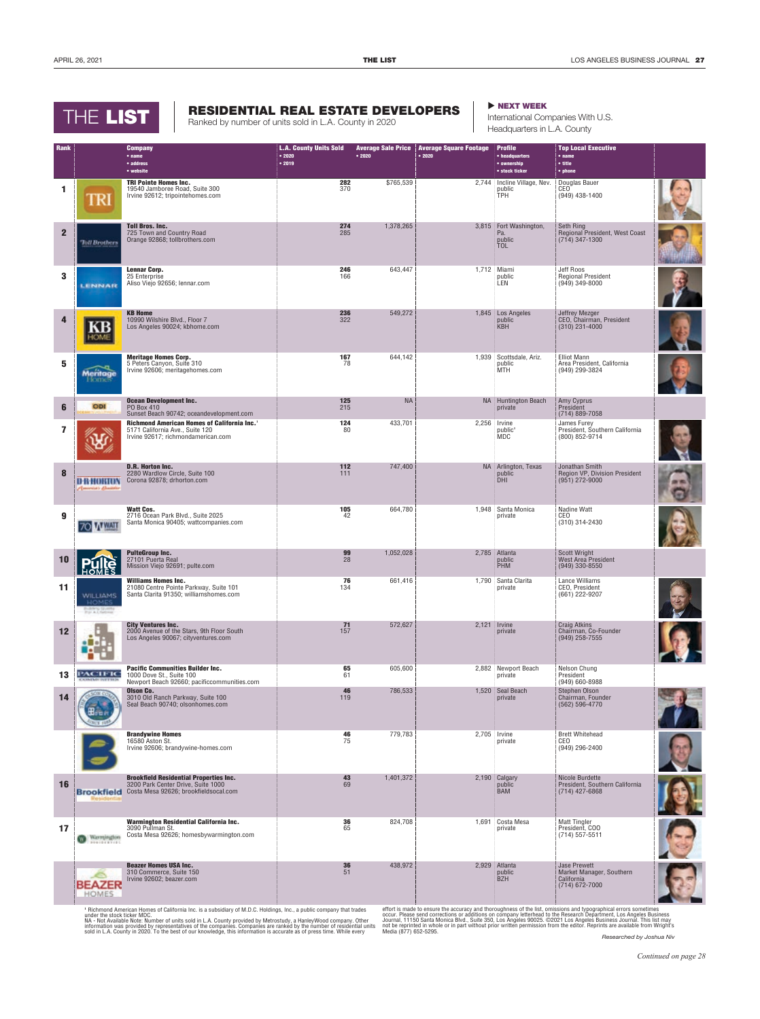## THE LIST

## RESIDENTIAL REAL ESTATE DEVELOPERS **DESIDENTIAL REAL ESTATE**

Ranked by number of units sold in L.A. County in 2020

International Companies With U.S. Headquarters in L.A. County

| Rank         |                                             | <b>Company</b><br>• name                                                                                                         | <b>L.A. County Units Sold</b><br>•2020 | • 2020    | <b>Average Sale Price   Average Square Footage</b><br>•2020 | <b>Profile</b><br>• headquarters                  | <b>Top Local Executive</b><br>• <sub>name</sub>                                   |  |
|--------------|---------------------------------------------|----------------------------------------------------------------------------------------------------------------------------------|----------------------------------------|-----------|-------------------------------------------------------------|---------------------------------------------------|-----------------------------------------------------------------------------------|--|
|              |                                             | • address<br>• website                                                                                                           | • 2019                                 |           |                                                             | • ownership<br>• stock ticker                     | $\bullet$ title<br>• phone                                                        |  |
|              |                                             | <b>TRI Pointe Homes Inc.</b>                                                                                                     | 282                                    | \$765,539 |                                                             | 2,744 Incline Village, Nev.                       | Douglas Bauer                                                                     |  |
| 1            | TRI                                         | 19540 Jamboree Road, Suite 300<br>Irvine 92612; tripointehomes.com                                                               | 370                                    |           |                                                             | public<br><b>TPH</b>                              | CEO <sup>-</sup><br>(949) 438-1400                                                |  |
| $\mathbf{2}$ | <b>Toll Brothers</b>                        | <b>Toll Bros. Inc.</b><br>725 Town and Country Road<br>Orange 92868; tollbrothers.com                                            | 274<br>285                             | 1,378,265 |                                                             | 3,815 Fort Washington,<br>Pa.<br>public<br>TOL    | Seth Ring<br>Regional President, West Coast<br>$(714)$ 347-1300                   |  |
| 3            | LENNAR                                      | <b>Lennar Corp.</b><br>25 Enterprise<br>Aliso Viejo 92656; lennar.com                                                            | 246<br>166                             | 643,447   |                                                             | 1,712 Miami<br>public<br>LEN                      | Jeff Roos<br><b>Regional President</b><br>$(949)$ 349-8000                        |  |
| 4            |                                             | <b>KB Home</b><br>10990 Wilshire Blvd., Floor 7<br>Los Angeles 90024; kbhome.com                                                 | 236<br>322                             | 549,272   |                                                             | 1,845 Los Angeles<br>public<br><b>KBH</b>         | Jeffrey Mezger<br>CEO, Chairman, President<br>$(310)$ 231-4000                    |  |
| 5            | Meritage<br>Flomes                          | <b>Meritage Homes Corp.</b><br>5 Peters Canyon, Suite 310<br>Irvine 92606; meritagehomes.com                                     | 167<br>78                              | 644,142   |                                                             | 1,939 Scottsdale, Ariz.<br>public<br>MTH          | <b>Elliot Mann</b><br>Area President, California<br>(949) 299-3824                |  |
| 6            | ODI                                         | <b>Ocean Development Inc.</b><br>PO Box 410<br>Sunset Beach 90742; oceandevelopment.com                                          | 125<br>215                             | <b>NA</b> |                                                             | <b>NA</b> Huntington Beach<br>private             | Amy Cyprus<br>President<br>(714) 889-7058                                         |  |
| 7            |                                             | Richmond American Homes of California Inc. <sup>1</sup><br>5171 California Ave., Suite 120<br>Irvine 92617; richmondamerican.com | 124<br>80                              | 433,701   |                                                             | 2,256 Irvine<br>public <sup>1</sup><br><b>MDC</b> | James Furey<br>President, Southern California<br>(800) 852-9714                   |  |
| 8            | <b>D-B-HOKION</b><br>America's disastric    | <b>D.R. Horton Inc.</b><br>2280 Wardlow Circle, Suite 100<br>Corona 92878; drhorton.com                                          | 112<br>111                             | 747,400   |                                                             | NA Arlington, Texas<br>public<br><b>DHI</b>       | Jonathan Smith<br>Region VP, Division President<br>$(951)$ 272-9000               |  |
| 9            | <b>SOMWAT</b>                               | <b>Watt Cos.</b><br>2716 Ocean Park Blvd., Suite 2025<br>Santa Monica 90405; wattcompanies.com                                   | 105<br>42                              | 664,780   |                                                             | 1,948 Santa Monica<br>private                     | Nadine Watt<br>CEO<br>(310) 314-2430                                              |  |
| 10           |                                             | <b>PulteGroup Inc.</b><br>27101 Puerta Real<br>Mission Viejo 92691; pulte.com                                                    | 99<br>28                               | 1,052,028 |                                                             | 2,785 Atlanta<br>public<br>PHM                    | <b>Scott Wright</b><br>West Area President<br>$(949)$ 330-8550                    |  |
| 11           | <b>WILLIAMS</b><br>HOME<br>Building Guesty  | <b>Williams Homes Inc.</b><br>21080 Centre Pointe Parkway, Suite 101<br>Santa Clarita 91350; williamshomes.com                   | 76<br>134                              | 661,416   |                                                             | 1,790 Santa Clarita<br>private                    | Lance Williams<br>CEO, President<br>$(661)$ 222-9207                              |  |
| 12           |                                             | <b>City Ventures Inc.</b><br>2000 Avenue of the Stars, 9th Floor South<br>Los Angeles 90067; cityventures.com                    | 71<br>157                              | 572,627   |                                                             | $2,121$ Irvine<br>private                         | Craig Atkins<br>Chairman, Co-Founder<br>$(949)$ 258-7555                          |  |
| 13           | PACIFIC<br>CASS CAR LIVET \$4.00            | <b>Pacific Communities Builder Inc.</b><br>1000 Dove St., Suite 100<br>Newport Beach 92660; pacificcommunities.com               | 65<br>61                               | 605,600   |                                                             | 2,882 Newport Beach<br>private                    | Nelson Chung<br>President<br>(949) 660-8988                                       |  |
| 14           |                                             | Olson Co.<br>3010 Old Ranch Parkway, Suite 100<br>Seal Beach 90740; olsonhomes.com                                               | 46<br>119                              | 786,533   |                                                             | 1,520 Seal Beach<br>private                       | Stephen Olson<br>Chairman, Founder<br>(562) 596-4770                              |  |
|              |                                             | <b>Brandywine Homes</b><br>16580 Aston St.<br>Irvine 92606; brandywine-homes.com                                                 | 46<br>75                               | 779,783   |                                                             | 2,705 Irvine<br>private                           | <b>Brett Whitehead</b><br>CEO<br>(949) 296-2400                                   |  |
| 16           | <b>Brookfield</b>                           | <b>Brookfield Residential Properties Inc.</b><br>3200 Park Center Drive, Suite 1000<br>Costa Mesa 92626; brookfieldsocal.com     | 43<br>69                               | 1,401,372 |                                                             | 2,190 Calgary<br>public<br>BAM                    | Nicole Burdette<br>President, Southern California<br>$(714)$ 427-6868             |  |
| 17           | Warmjogton<br><b><i><u>POINTERS</u></i></b> | Warmington Residential California Inc.<br>3090 Pullman St.<br>Costa Mesa 92626; homesbywarmington.com                            | 36<br>65                               | 824,708   |                                                             | 1,691 Costa Mesa<br>private                       | <b>Matt Tingler</b><br>President, COO<br>$(714) 557 - 5511$                       |  |
|              | BEAZER<br>HOMES                             | <b>Beazer Homes USA Inc.</b><br>310 Commerce, Suite 150<br>Irvine 92602; beazer.com                                              | 36<br>51                               | 438,972   |                                                             | 2,929 Atlanta<br>public<br><b>BZH</b>             | <b>Jase Prewett</b><br>Market Manager, Southern<br>California<br>$(714)$ 672-7000 |  |

<sup>1</sup> Richmond American Homes of California Inc. is a subsidiary of M.D.C. Holdings, Inc., a public company that trades<br>under the stock ticker MDC.<br>NA - Not Available Note: Number of units sold in L.A. County provided by Met

effort is made to ensure the accuracy and thoroughness of the list, omissions and typographical errors sometimes<br>occur. Please send corrections or additions on company letterhead to the Research Department, Los Angeles Bus *Researched by Joshua Niv*